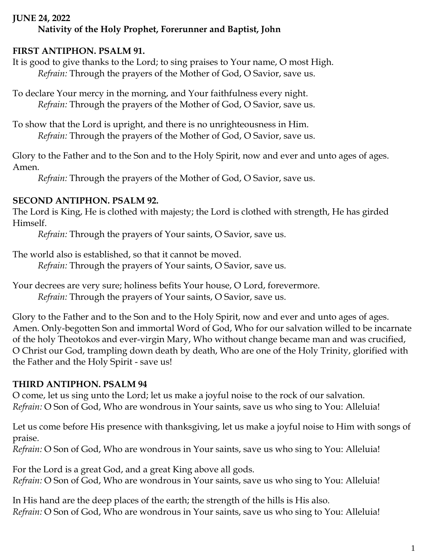#### **JUNE 24, 2022**

# **Nativity of the Holy Prophet, Forerunner and Baptist, John**

# **FIRST ANTIPHON. PSALM 91.**

It is good to give thanks to the Lord; to sing praises to Your name, O most High. *Refrain:* Through the prayers of the Mother of God, O Savior, save us.

To declare Your mercy in the morning, and Your faithfulness every night. *Refrain:* Through the prayers of the Mother of God, O Savior, save us.

To show that the Lord is upright, and there is no unrighteousness in Him. *Refrain:* Through the prayers of the Mother of God, O Savior, save us.

Glory to the Father and to the Son and to the Holy Spirit, now and ever and unto ages of ages. Amen.

*Refrain:* Through the prayers of the Mother of God, O Savior, save us.

### **SECOND ANTIPHON. PSALM 92.**

The Lord is King, He is clothed with majesty; the Lord is clothed with strength, He has girded Himself.

*Refrain:* Through the prayers of Your saints, O Savior, save us.

The world also is established, so that it cannot be moved.

*Refrain:* Through the prayers of Your saints, O Savior, save us.

Your decrees are very sure; holiness befits Your house, O Lord, forevermore. *Refrain:* Through the prayers of Your saints, O Savior, save us.

Glory to the Father and to the Son and to the Holy Spirit, now and ever and unto ages of ages. Amen. Only-begotten Son and immortal Word of God, Who for our salvation willed to be incarnate of the holy Theotokos and ever-virgin Mary, Who without change became man and was crucified, O Christ our God, trampling down death by death, Who are one of the Holy Trinity, glorified with the Father and the Holy Spirit - save us!

# **THIRD ANTIPHON. PSALM 94**

O come, let us sing unto the Lord; let us make a joyful noise to the rock of our salvation. *Refrain:* O Son of God, Who are wondrous in Your saints, save us who sing to You: Alleluia!

Let us come before His presence with thanksgiving, let us make a joyful noise to Him with songs of praise.

*Refrain:* O Son of God, Who are wondrous in Your saints, save us who sing to You: Alleluia!

For the Lord is a great God, and a great King above all gods. *Refrain:* O Son of God, Who are wondrous in Your saints, save us who sing to You: Alleluia!

In His hand are the deep places of the earth; the strength of the hills is His also. *Refrain:* O Son of God, Who are wondrous in Your saints, save us who sing to You: Alleluia!